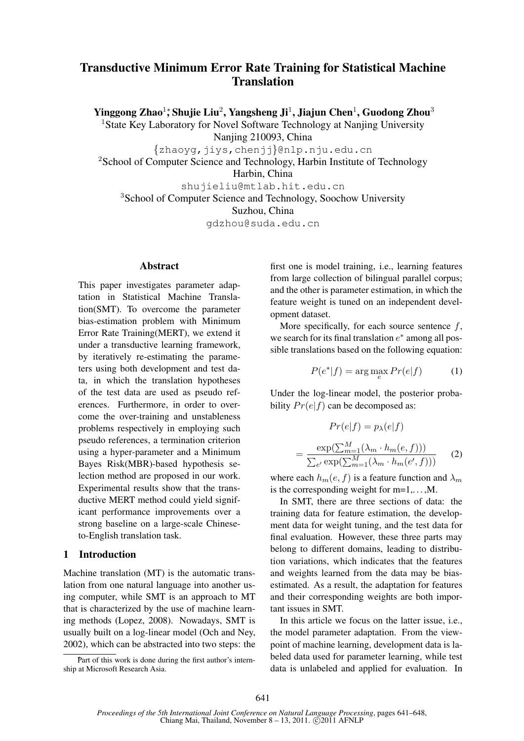# Transductive Minimum Error Rate Training for Statistical Machine **Translation**

Yinggong Zhao $^1$ ; Shujie Liu $^2$ , Yangsheng Ji $^1$ , Jiajun Chen $^1$ , Guodong Zhou $^3$ 

<sup>1</sup>State Key Laboratory for Novel Software Technology at Nanjing University

Nanjing 210093, China

{zhaoyg,jiys,chenjj}@nlp.nju.edu.cn

<sup>2</sup>School of Computer Science and Technology, Harbin Institute of Technology

Harbin, China

shujieliu@mtlab.hit.edu.cn

<sup>3</sup>School of Computer Science and Technology, Soochow University

Suzhou, China

gdzhou@suda.edu.cn

#### Abstract

This paper investigates parameter adaptation in Statistical Machine Translation(SMT). To overcome the parameter bias-estimation problem with Minimum Error Rate Training(MERT), we extend it under a transductive learning framework, by iteratively re-estimating the parameters using both development and test data, in which the translation hypotheses of the test data are used as pseudo references. Furthermore, in order to overcome the over-training and unstableness problems respectively in employing such pseudo references, a termination criterion using a hyper-parameter and a Minimum Bayes Risk(MBR)-based hypothesis selection method are proposed in our work. Experimental results show that the transductive MERT method could yield significant performance improvements over a strong baseline on a large-scale Chineseto-English translation task.

# 1 Introduction

Machine translation (MT) is the automatic translation from one natural language into another using computer, while SMT is an approach to MT that is characterized by the use of machine learning methods (Lopez, 2008). Nowadays, SMT is usually built on a log-linear model (Och and Ney, 2002), which can be abstracted into two steps: the

Part of this work is done during the first author's internship at Microsoft Research Asia.

first one is model training, i.e., learning features from large collection of bilingual parallel corpus; and the other is parameter estimation, in which the feature weight is tuned on an independent development dataset.

More specifically, for each source sentence  $f$ , we search for its final translation  $e^*$  among all possible translations based on the following equation:

$$
P(e^*|f) = \arg\max_e Pr(e|f)
$$
 (1)

Under the log-linear model, the posterior probability  $Pr(e|f)$  can be decomposed as:

$$
Pr(e|f) = p_{\lambda}(e|f)
$$

$$
= \frac{\exp(\sum_{m=1}^{M} (\lambda_m \cdot h_m(e, f)))}{\sum_{e'} \exp(\sum_{m=1}^{M} (\lambda_m \cdot h_m(e', f)))}
$$
(2)

where each  $h_m(e, f)$  is a feature function and  $\lambda_m$ is the corresponding weight for  $m=1,\ldots,M$ .

In SMT, there are three sections of data: the training data for feature estimation, the development data for weight tuning, and the test data for final evaluation. However, these three parts may belong to different domains, leading to distribution variations, which indicates that the features and weights learned from the data may be biasestimated. As a result, the adaptation for features and their corresponding weights are both important issues in SMT.

In this article we focus on the latter issue, i.e., the model parameter adaptation. From the viewpoint of machine learning, development data is labeled data used for parameter learning, while test data is unlabeled and applied for evaluation. In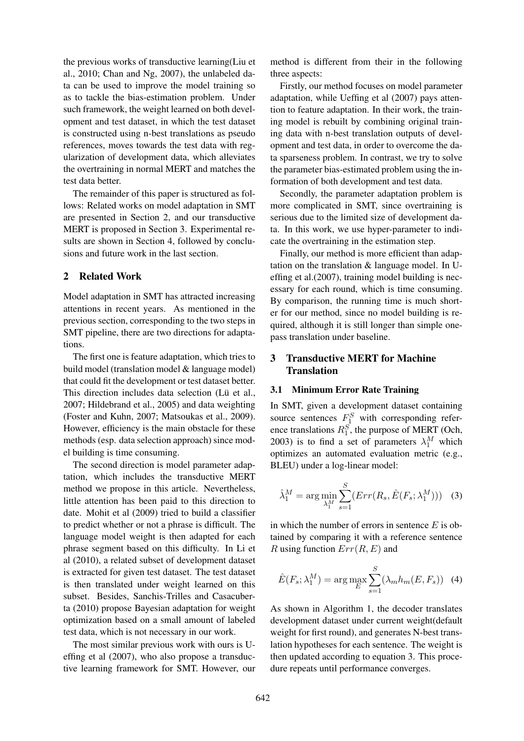the previous works of transductive learning(Liu et al., 2010; Chan and Ng, 2007), the unlabeled data can be used to improve the model training so as to tackle the bias-estimation problem. Under such framework, the weight learned on both development and test dataset, in which the test dataset is constructed using n-best translations as pseudo references, moves towards the test data with regularization of development data, which alleviates the overtraining in normal MERT and matches the test data better.

The remainder of this paper is structured as follows: Related works on model adaptation in SMT are presented in Section 2, and our transductive MERT is proposed in Section 3. Experimental results are shown in Section 4, followed by conclusions and future work in the last section.

### 2 Related Work

Model adaptation in SMT has attracted increasing attentions in recent years. As mentioned in the previous section, corresponding to the two steps in SMT pipeline, there are two directions for adaptations.

The first one is feature adaptation, which tries to build model (translation model & language model) that could fit the development or test dataset better. This direction includes data selection (Lü et al., 2007; Hildebrand et al., 2005) and data weighting (Foster and Kuhn, 2007; Matsoukas et al., 2009). However, efficiency is the main obstacle for these methods (esp. data selection approach) since model building is time consuming.

The second direction is model parameter adaptation, which includes the transductive MERT method we propose in this article. Nevertheless, little attention has been paid to this direction to date. Mohit et al (2009) tried to build a classifier to predict whether or not a phrase is difficult. The language model weight is then adapted for each phrase segment based on this difficulty. In Li et al (2010), a related subset of development dataset is extracted for given test dataset. The test dataset is then translated under weight learned on this subset. Besides, Sanchis-Trilles and Casacuberta (2010) propose Bayesian adaptation for weight optimization based on a small amount of labeled test data, which is not necessary in our work.

The most similar previous work with ours is Ueffing et al (2007), who also propose a transductive learning framework for SMT. However, our

method is different from their in the following three aspects:

Firstly, our method focuses on model parameter adaptation, while Ueffing et al (2007) pays attention to feature adaptation. In their work, the training model is rebuilt by combining original training data with n-best translation outputs of development and test data, in order to overcome the data sparseness problem. In contrast, we try to solve the parameter bias-estimated problem using the information of both development and test data.

Secondly, the parameter adaptation problem is more complicated in SMT, since overtraining is serious due to the limited size of development data. In this work, we use hyper-parameter to indicate the overtraining in the estimation step.

Finally, our method is more efficient than adaptation on the translation & language model. In Ueffing et al.(2007), training model building is necessary for each round, which is time consuming. By comparison, the running time is much shorter for our method, since no model building is required, although it is still longer than simple onepass translation under baseline.

# 3 Transductive MERT for Machine **Translation**

### 3.1 Minimum Error Rate Training

In SMT, given a development dataset containing source sentences  $F_1^S$  with corresponding reference translations  $R_1^S$ , the purpose of MERT (Och, 2003) is to find a set of parameters  $\lambda_1^M$  which optimizes an automated evaluation metric (e.g., BLEU) under a log-linear model:

$$
\hat{\lambda}_1^M = \arg\min_{\lambda_1^M} \sum_{s=1}^S (Err(R_s, \hat{E}(F_s; \lambda_1^M))) \quad (3)
$$

in which the number of errors in sentence  $E$  is obtained by comparing it with a reference sentence R using function  $Err(R, E)$  and

$$
\hat{E}(F_s; \lambda_1^M) = \arg \max_{E} \sum_{s=1}^{S} (\lambda_m h_m(E, F_s)) \quad (4)
$$

As shown in Algorithm 1, the decoder translates development dataset under current weight(default weight for first round), and generates N-best translation hypotheses for each sentence. The weight is then updated according to equation 3. This procedure repeats until performance converges.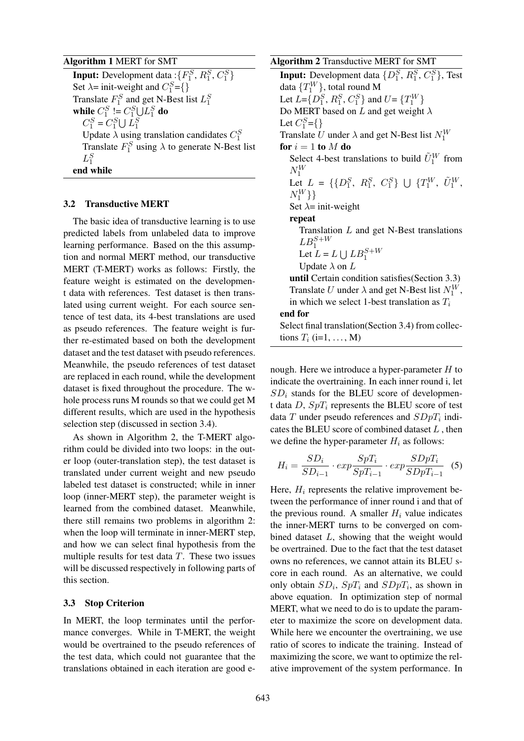#### Algorithm 1 MERT for SMT

**Input:** Development data: $\{F_1^S, R_1^S, C_1^S\}$ Set  $\lambda$ = init-weight and  $C_1^S$ ={} Translate  $F_1^S$  and get N-Best list  $L_1^S$ while  $C_1^S \coloneqq C_1^S \cup L_1^S$  do  $C_1^S = C_1^S \cup L_1^S$ Update  $\lambda$  using translation candidates  $C_1^S$ Translate  $F_1^S$  using  $\lambda$  to generate N-Best list  $L_1^S$ end while

#### 3.2 Transductive MERT

The basic idea of transductive learning is to use predicted labels from unlabeled data to improve learning performance. Based on the this assumption and normal MERT method, our transductive MERT (T-MERT) works as follows: Firstly, the feature weight is estimated on the development data with references. Test dataset is then translated using current weight. For each source sentence of test data, its 4-best translations are used as pseudo references. The feature weight is further re-estimated based on both the development dataset and the test dataset with pseudo references. Meanwhile, the pseudo references of test dataset are replaced in each round, while the development dataset is fixed throughout the procedure. The whole process runs M rounds so that we could get M different results, which are used in the hypothesis selection step (discussed in section 3.4).

As shown in Algorithm 2, the T-MERT algorithm could be divided into two loops: in the outer loop (outer-translation step), the test dataset is translated under current weight and new pseudo labeled test dataset is constructed; while in inner loop (inner-MERT step), the parameter weight is learned from the combined dataset. Meanwhile, there still remains two problems in algorithm 2: when the loop will terminate in inner-MERT step, and how we can select final hypothesis from the multiple results for test data  $T$ . These two issues will be discussed respectively in following parts of this section.

#### 3.3 Stop Criterion

In MERT, the loop terminates until the performance converges. While in T-MERT, the weight would be overtrained to the pseudo references of the test data, which could not guarantee that the translations obtained in each iteration are good eAlgorithm 2 Transductive MERT for SMT **Input:** Development data  $\{D_1^S, R_1^S, C_1^S\}$ , Test data  $\{T_1^W\}$ , total round M Let  $L = \{D_1^S, R_1^S, C_1^S\}$  and  $U = \{T_1^W\}$ Do MERT based on L and get weight  $\lambda$ Let  $C_1^S = \{\}$ Translate U under  $\lambda$  and get N-Best list  $N_1^W$ for  $i = 1$  to  $M$  do Select 4-best translations to build  $\tilde{U}_1^W$  from  $N_1^W$ Let  $L = \{ \{D_1^S, R_1^S, C_1^S\} \cup \{T_1^W, \tilde{U}_1^W, \}$  $N_{1}^{W}\}\}$ Set  $\lambda$ = init-weight repeat Translation  $L$  and get N-Best translations  $LB_1^{S+W}$ Let  $L = L \cup LB_1^{S+W}$ Update  $\lambda$  on  $L$ until Certain condition satisfies(Section 3.3) Translate U under  $\lambda$  and get N-Best list  $N_1^W$ , in which we select 1-best translation as  $T_i$ end for Select final translation(Section 3.4) from collections  $T_i$  (i=1, ..., M)

nough. Here we introduce a hyper-parameter  $H$  to indicate the overtraining. In each inner round i, let  $SD<sub>i</sub>$  stands for the BLEU score of development data  $D$ ,  $SpT_i$  represents the BLEU score of test data T under pseudo references and  $SDpT_i$  indicates the BLEU score of combined dataset  $L$ , then we define the hyper-parameter  $H_i$  as follows:

$$
H_i = \frac{SD_i}{SD_{i-1}} \cdot exp \frac{SpT_i}{SpT_{i-1}} \cdot exp \frac{SDpT_i}{SDpT_{i-1}} \quad (5)
$$

Here,  $H_i$  represents the relative improvement between the performance of inner round i and that of the previous round. A smaller  $H_i$  value indicates the inner-MERT turns to be converged on combined dataset L, showing that the weight would be overtrained. Due to the fact that the test dataset owns no references, we cannot attain its BLEU score in each round. As an alternative, we could only obtain  $SD_i$ ,  $SpT_i$  and  $SDpT_i$ , as shown in above equation. In optimization step of normal MERT, what we need to do is to update the parameter to maximize the score on development data. While here we encounter the overtraining, we use ratio of scores to indicate the training. Instead of maximizing the score, we want to optimize the relative improvement of the system performance. In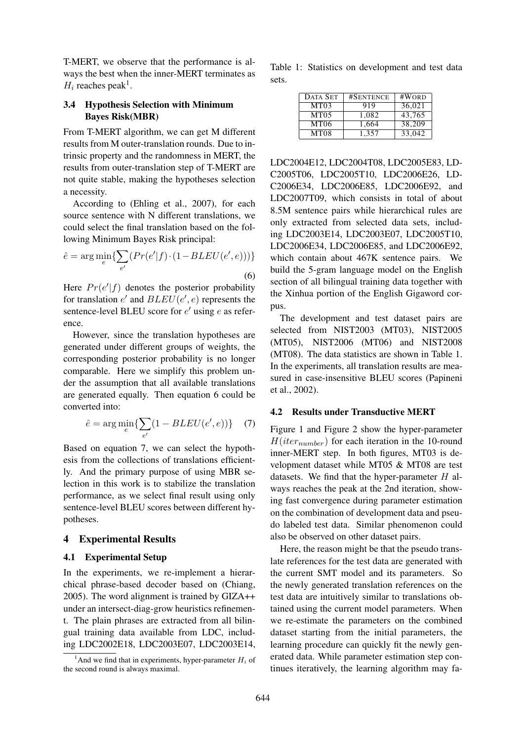T-MERT, we observe that the performance is always the best when the inner-MERT terminates as  $H_i$  reaches peak<sup>1</sup>.

## 3.4 Hypothesis Selection with Minimum Bayes Risk(MBR)

From T-MERT algorithm, we can get M different results from M outer-translation rounds. Due to intrinsic property and the randomness in MERT, the results from outer-translation step of T-MERT are not quite stable, making the hypotheses selection a necessity.

According to (Ehling et al., 2007), for each source sentence with N different translations, we could select the final translation based on the following Minimum Bayes Risk principal:

$$
\hat{e} = \arg\min_{e} \{ \sum_{e'} (Pr(e'|f) \cdot (1 - BLEU(e', e))) \}
$$
\n(6)

Here  $Pr(e'|f)$  denotes the posterior probability for translation  $e'$  and  $BLEU(e', e)$  represents the sentence-level BLEU score for  $e'$  using  $e$  as reference.

However, since the translation hypotheses are generated under different groups of weights, the corresponding posterior probability is no longer comparable. Here we simplify this problem under the assumption that all available translations are generated equally. Then equation 6 could be converted into:

$$
\hat{e} = \arg\min_{e} \{ \sum_{e'} (1 - BLEU(e', e)) \} \tag{7}
$$

Based on equation 7, we can select the hypothesis from the collections of translations efficiently. And the primary purpose of using MBR selection in this work is to stabilize the translation performance, as we select final result using only sentence-level BLEU scores between different hypotheses.

### 4 Experimental Results

#### 4.1 Experimental Setup

In the experiments, we re-implement a hierarchical phrase-based decoder based on (Chiang, 2005). The word alignment is trained by GIZA++ under an intersect-diag-grow heuristics refinement. The plain phrases are extracted from all bilingual training data available from LDC, including LDC2002E18, LDC2003E07, LDC2003E14, Table 1: Statistics on development and test data sets.

| <b>DATA SET</b>  | #SENTENCE | #WORD  |
|------------------|-----------|--------|
| MT03             | 919       | 36,021 |
| <b>MT05</b>      | 1,082     | 43.765 |
| MT <sub>06</sub> | 1,664     | 38,209 |
| <b>MT08</b>      | 1.357     | 33,042 |

LDC2004E12, LDC2004T08, LDC2005E83, LD-C2005T06, LDC2005T10, LDC2006E26, LD-C2006E34, LDC2006E85, LDC2006E92, and LDC2007T09, which consists in total of about 8.5M sentence pairs while hierarchical rules are only extracted from selected data sets, including LDC2003E14, LDC2003E07, LDC2005T10, LDC2006E34, LDC2006E85, and LDC2006E92, which contain about 467K sentence pairs. We build the 5-gram language model on the English section of all bilingual training data together with the Xinhua portion of the English Gigaword corpus.

The development and test dataset pairs are selected from NIST2003 (MT03), NIST2005 (MT05), NIST2006 (MT06) and NIST2008 (MT08). The data statistics are shown in Table 1. In the experiments, all translation results are measured in case-insensitive BLEU scores (Papineni et al., 2002).

#### 4.2 Results under Transductive MERT

Figure 1 and Figure 2 show the hyper-parameter  $H(iter_{number})$  for each iteration in the 10-round inner-MERT step. In both figures, MT03 is development dataset while MT05 & MT08 are test datasets. We find that the hyper-parameter  $H$  always reaches the peak at the 2nd iteration, showing fast convergence during parameter estimation on the combination of development data and pseudo labeled test data. Similar phenomenon could also be observed on other dataset pairs.

Here, the reason might be that the pseudo translate references for the test data are generated with the current SMT model and its parameters. So the newly generated translation references on the test data are intuitively similar to translations obtained using the current model parameters. When we re-estimate the parameters on the combined dataset starting from the initial parameters, the learning procedure can quickly fit the newly generated data. While parameter estimation step continues iteratively, the learning algorithm may fa-

<sup>&</sup>lt;sup>1</sup>And we find that in experiments, hyper-parameter  $H_i$  of the second round is always maximal.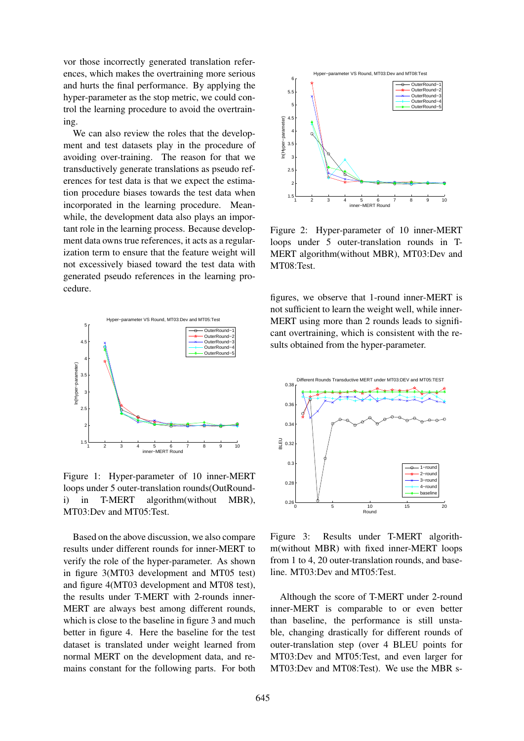vor those incorrectly generated translation references, which makes the overtraining more serious and hurts the final performance. By applying the hyper-parameter as the stop metric, we could control the learning procedure to avoid the overtraining.

We can also review the roles that the development and test datasets play in the procedure of avoiding over-training. The reason for that we transductively generate translations as pseudo references for test data is that we expect the estimation procedure biases towards the test data when incorporated in the learning procedure. Meanwhile, the development data also plays an important role in the learning process. Because development data owns true references, it acts as a regularization term to ensure that the feature weight will not excessively biased toward the test data with generated pseudo references in the learning procedure.



Figure 1: Hyper-parameter of 10 inner-MERT loops under 5 outer-translation rounds(OutRoundi) in T-MERT algorithm(without MBR), MT03:Dev and MT05:Test.

Based on the above discussion, we also compare results under different rounds for inner-MERT to verify the role of the hyper-parameter. As shown in figure 3(MT03 development and MT05 test) and figure 4(MT03 development and MT08 test), the results under T-MERT with 2-rounds inner-MERT are always best among different rounds, which is close to the baseline in figure 3 and much better in figure 4. Here the baseline for the test dataset is translated under weight learned from normal MERT on the development data, and remains constant for the following parts. For both



Figure 2: Hyper-parameter of 10 inner-MERT loops under 5 outer-translation rounds in T-MERT algorithm(without MBR), MT03:Dev and MT08:Test.

figures, we observe that 1-round inner-MERT is not sufficient to learn the weight well, while inner-MERT using more than 2 rounds leads to significant overtraining, which is consistent with the results obtained from the hyper-parameter.



Figure 3: Results under T-MERT algorithm(without MBR) with fixed inner-MERT loops from 1 to 4, 20 outer-translation rounds, and baseline. MT03:Dev and MT05:Test.

Although the score of T-MERT under 2-round inner-MERT is comparable to or even better than baseline, the performance is still unstable, changing drastically for different rounds of outer-translation step (over 4 BLEU points for MT03:Dev and MT05:Test, and even larger for MT03:Dev and MT08:Test). We use the MBR s-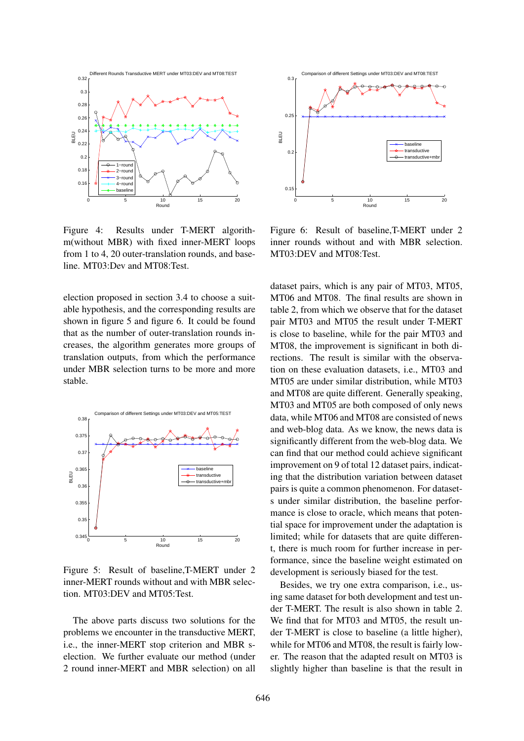

Figure 4: Results under T-MERT algorithm(without MBR) with fixed inner-MERT loops from 1 to 4, 20 outer-translation rounds, and baseline. MT03:Dev and MT08:Test.

election proposed in section 3.4 to choose a suitable hypothesis, and the corresponding results are shown in figure 5 and figure 6. It could be found that as the number of outer-translation rounds increases, the algorithm generates more groups of translation outputs, from which the performance under MBR selection turns to be more and more stable.



Figure 5: Result of baseline,T-MERT under 2 inner-MERT rounds without and with MBR selection. MT03:DEV and MT05:Test.

The above parts discuss two solutions for the problems we encounter in the transductive MERT, i.e., the inner-MERT stop criterion and MBR selection. We further evaluate our method (under 2 round inner-MERT and MBR selection) on all



Figure 6: Result of baseline,T-MERT under 2 inner rounds without and with MBR selection. MT03:DEV and MT08:Test.

dataset pairs, which is any pair of MT03, MT05, MT06 and MT08. The final results are shown in table 2, from which we observe that for the dataset pair MT03 and MT05 the result under T-MERT is close to baseline, while for the pair MT03 and MT08, the improvement is significant in both directions. The result is similar with the observation on these evaluation datasets, i.e., MT03 and MT05 are under similar distribution, while MT03 and MT08 are quite different. Generally speaking, MT03 and MT05 are both composed of only news data, while MT06 and MT08 are consisted of news and web-blog data. As we know, the news data is significantly different from the web-blog data. We can find that our method could achieve significant improvement on 9 of total 12 dataset pairs, indicating that the distribution variation between dataset pairs is quite a common phenomenon. For datasets under similar distribution, the baseline performance is close to oracle, which means that potential space for improvement under the adaptation is limited; while for datasets that are quite different, there is much room for further increase in performance, since the baseline weight estimated on development is seriously biased for the test.

Besides, we try one extra comparison, i.e., using same dataset for both development and test under T-MERT. The result is also shown in table 2. We find that for MT03 and MT05, the result under T-MERT is close to baseline (a little higher), while for MT06 and MT08, the result is fairly lower. The reason that the adapted result on MT03 is slightly higher than baseline is that the result in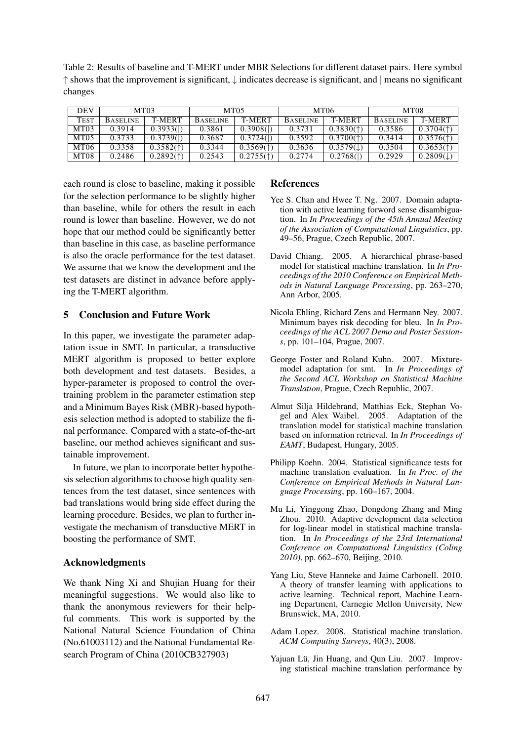Table 2: Results of baseline and T-MERT under MBR Selections for different dataset pairs. Here symbol ↑ shows that the improvement is significant, ↓ indicates decrease is significant, and | means no significant changes

| <b>DEV</b>  | MT <sub>0</sub> 3 |                                            | MT <sub>05</sub> |                                            | MT06            |                                            | MT08            |                                            |
|-------------|-------------------|--------------------------------------------|------------------|--------------------------------------------|-----------------|--------------------------------------------|-----------------|--------------------------------------------|
| <b>TEST</b> | <b>BASELINE</b>   | <b>T-MERT</b>                              | <b>BASELINE</b>  | T-MERT                                     | <b>BASELINE</b> | T-MERT                                     | <b>BASELINE</b> | T-MERT                                     |
| MT03        | 0.3914            | 0.3933()                                   | 0.3861           | 0.3908()                                   | 0.3731          | $0.3830($ <sup><math>\dagger)</math></sup> | 0.3586          | $0.3704($ <sup><math>\dagger)</math></sup> |
| MT05        | 0.3733            | 0.3739()                                   | 0.3687           | 0.3724()                                   | 0.3592          | $0.3700($ <sup><math>\dagger)</math></sup> | 0.3414          | $0.3576($ <sup><math>\dagger)</math></sup> |
| MT06        | 0.3358            | $0.3582($ <sup><math>\dagger)</math></sup> | 0.3344           | $0.3569($ <sup><math>\dagger)</math></sup> | 0.3636          | $0.3579(\downarrow)$                       | 0.3504          | $0.3653($ <sup><math>\dagger)</math></sup> |
| MT08        | 0.2486            | $0.2892($ <sup><math>\dagger)</math></sup> | 0.2543           | $0.2755($ <sup><math>\dagger)</math></sup> | 0.2774          | 0.2768()                                   | 0.2929          | $0.2809(\downarrow)$                       |

each round is close to baseline, making it possible for the selection performance to be slightly higher than baseline, while for others the result in each round is lower than baseline. However, we do not hope that our method could be significantly better than baseline in this case, as baseline performance is also the oracle performance for the test dataset. We assume that we know the development and the test datasets are distinct in advance before applying the T-MERT algorithm.

# 5 Conclusion and Future Work

In this paper, we investigate the parameter adaptation issue in SMT. In particular, a transductive MERT algorithm is proposed to better explore both development and test datasets. Besides, a hyper-parameter is proposed to control the overtraining problem in the parameter estimation step and a Minimum Bayes Risk (MBR)-based hypothesis selection method is adopted to stabilize the final performance. Compared with a state-of-the-art baseline, our method achieves significant and sustainable improvement.

In future, we plan to incorporate better hypothesis selection algorithms to choose high quality sentences from the test dataset, since sentences with bad translations would bring side effect during the learning procedure. Besides, we plan to further investigate the mechanism of transductive MERT in boosting the performance of SMT.

### Acknowledgments

We thank Ning Xi and Shujian Huang for their meaningful suggestions. We would also like to thank the anonymous reviewers for their helpful comments. This work is supported by the National Natural Science Foundation of China (No.61003112) and the National Fundamental Research Program of China (2010CB327903)

# References

- Yee S. Chan and Hwee T. Ng. 2007. Domain adaptation with active learning forword sense disambiguation. In *In Proceedings of the 45th Annual Meeting of the Association of Computational Linguistics*, pp. 49–56, Prague, Czech Republic, 2007.
- David Chiang. 2005. A hierarchical phrase-based model for statistical machine translation. In *In Proceedings of the 2010 Conference on Empirical Methods in Natural Language Processing*, pp. 263–270, Ann Arbor, 2005.
- Nicola Ehling, Richard Zens and Hermann Ney. 2007. Minimum bayes risk decoding for bleu. In *In Proceedings of the ACL 2007 Demo and Poster Sessions*, pp. 101–104, Prague, 2007.
- George Foster and Roland Kuhn. 2007. Mixturemodel adaptation for smt. In *In Proceedings of the Second ACL Workshop on Statistical Machine Translation*, Prague, Czech Republic, 2007.
- Almut Silja Hildebrand, Matthias Eck, Stephan Vogel and Alex Waibel. 2005. Adaptation of the translation model for statistical machine translation based on information retrieval. In *In Proceedings of EAMT*, Budapest, Hungary, 2005.
- Philipp Koehn. 2004. Statistical significance tests for machine translation evaluation. In *In Proc. of the Conference on Empirical Methods in Natural Language Processing*, pp. 160–167, 2004.
- Mu Li, Yinggong Zhao, Dongdong Zhang and Ming Zhou. 2010. Adaptive development data selection for log-linear model in statistical machine translation. In *In Proceedings of the 23rd International Conference on Computational Linguistics (Coling 2010)*, pp. 662–670, Beijing, 2010.
- Yang Liu, Steve Hanneke and Jaime Carbonell. 2010. A theory of transfer learning with applications to active learning. Technical report, Machine Learning Department, Carnegie Mellon University, New Brunswick, MA, 2010.
- Adam Lopez. 2008. Statistical machine translation. *ACM Computing Surveys*, 40(3), 2008.
- Yajuan Lü, Jin Huang, and Qun Liu. 2007. Improving statistical machine translation performance by